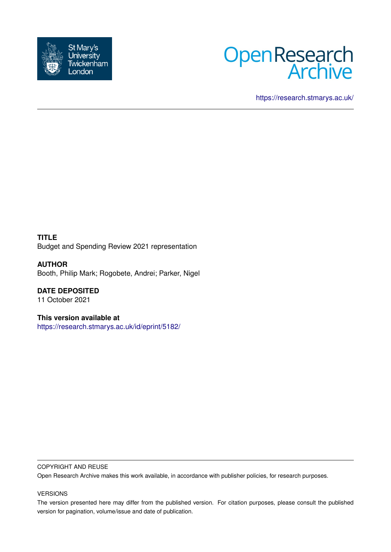



<https://research.stmarys.ac.uk/>

**TITLE** Budget and Spending Review 2021 representation

**AUTHOR** Booth, Philip Mark; Rogobete, Andrei; Parker, Nigel

**DATE DEPOSITED** 11 October 2021

**This version available at** <https://research.stmarys.ac.uk/id/eprint/5182/>

#### COPYRIGHT AND REUSE

Open Research Archive makes this work available, in accordance with publisher policies, for research purposes.

#### VERSIONS

The version presented here may differ from the published version. For citation purposes, please consult the published version for pagination, volume/issue and date of publication.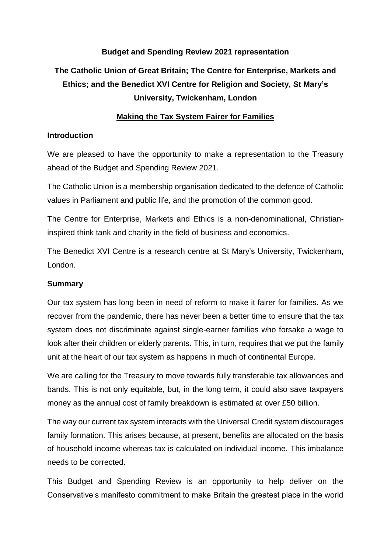# **Budget and Spending Review 2021 representation**

# **The Catholic Union of Great Britain; The Centre for Enterprise, Markets and Ethics; and the Benedict XVI Centre for Religion and Society, St Mary's University, Twickenham, London**

## **Making the Tax System Fairer for Families**

## **Introduction**

We are pleased to have the opportunity to make a representation to the Treasury ahead of the Budget and Spending Review 2021.

The Catholic Union is a membership organisation dedicated to the defence of Catholic values in Parliament and public life, and the promotion of the common good.

The Centre for Enterprise, Markets and Ethics is a non-denominational, Christianinspired think tank and charity in the field of business and economics.

The Benedict XVI Centre is a research centre at St Mary's University, Twickenham, London.

# **Summary**

Our tax system has long been in need of reform to make it fairer for families. As we recover from the pandemic, there has never been a better time to ensure that the tax system does not discriminate against single-earner families who forsake a wage to look after their children or elderly parents. This, in turn, requires that we put the family unit at the heart of our tax system as happens in much of continental Europe.

We are calling for the Treasury to move towards fully transferable tax allowances and bands. This is not only equitable, but, in the long term, it could also save taxpayers money as the annual cost of family breakdown is estimated at over £50 billion.

The way our current tax system interacts with the Universal Credit system discourages family formation. This arises because, at present, benefits are allocated on the basis of household income whereas tax is calculated on individual income. This imbalance needs to be corrected.

This Budget and Spending Review is an opportunity to help deliver on the Conservative's manifesto commitment to make Britain the greatest place in the world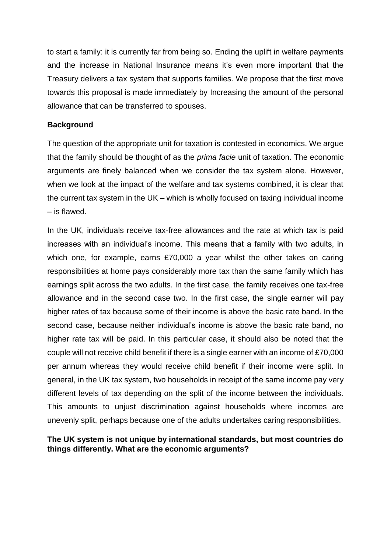to start a family: it is currently far from being so. Ending the uplift in welfare payments and the increase in National Insurance means it's even more important that the Treasury delivers a tax system that supports families. We propose that the first move towards this proposal is made immediately by Increasing the amount of the personal allowance that can be transferred to spouses.

## **Background**

The question of the appropriate unit for taxation is contested in economics. We argue that the family should be thought of as the *prima facie* unit of taxation. The economic arguments are finely balanced when we consider the tax system alone. However, when we look at the impact of the welfare and tax systems combined, it is clear that the current tax system in the UK – which is wholly focused on taxing individual income – is flawed.

In the UK, individuals receive tax-free allowances and the rate at which tax is paid increases with an individual's income. This means that a family with two adults, in which one, for example, earns £70,000 a year whilst the other takes on caring responsibilities at home pays considerably more tax than the same family which has earnings split across the two adults. In the first case, the family receives one tax-free allowance and in the second case two. In the first case, the single earner will pay higher rates of tax because some of their income is above the basic rate band. In the second case, because neither individual's income is above the basic rate band, no higher rate tax will be paid. In this particular case, it should also be noted that the couple will not receive child benefit if there is a single earner with an income of £70,000 per annum whereas they would receive child benefit if their income were split. In general, in the UK tax system, two households in receipt of the same income pay very different levels of tax depending on the split of the income between the individuals. This amounts to unjust discrimination against households where incomes are unevenly split, perhaps because one of the adults undertakes caring responsibilities.

# **The UK system is not unique by international standards, but most countries do things differently. What are the economic arguments?**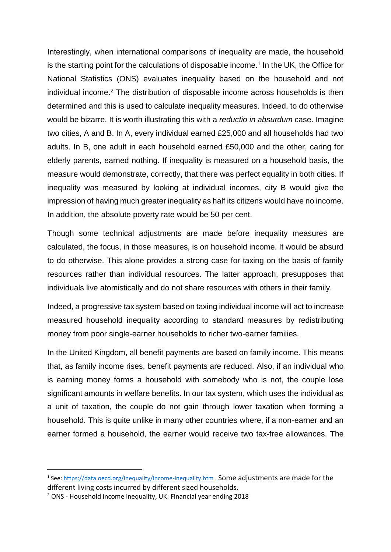Interestingly, when international comparisons of inequality are made, the household is the starting point for the calculations of disposable income.<sup>1</sup> In the UK, the Office for National Statistics (ONS) evaluates inequality based on the household and not individual income.<sup>2</sup> The distribution of disposable income across households is then determined and this is used to calculate inequality measures. Indeed, to do otherwise would be bizarre. It is worth illustrating this with a *reductio in absurdum* case. Imagine two cities, A and B. In A, every individual earned £25,000 and all households had two adults. In B, one adult in each household earned £50,000 and the other, caring for elderly parents, earned nothing. If inequality is measured on a household basis, the measure would demonstrate, correctly, that there was perfect equality in both cities. If inequality was measured by looking at individual incomes, city B would give the impression of having much greater inequality as half its citizens would have no income. In addition, the absolute poverty rate would be 50 per cent.

Though some technical adjustments are made before inequality measures are calculated, the focus, in those measures, is on household income. It would be absurd to do otherwise. This alone provides a strong case for taxing on the basis of family resources rather than individual resources. The latter approach, presupposes that individuals live atomistically and do not share resources with others in their family.

Indeed, a progressive tax system based on taxing individual income will act to increase measured household inequality according to standard measures by redistributing money from poor single-earner households to richer two-earner families.

In the United Kingdom, all benefit payments are based on family income. This means that, as family income rises, benefit payments are reduced. Also, if an individual who is earning money forms a household with somebody who is not, the couple lose significant amounts in welfare benefits. In our tax system, which uses the individual as a unit of taxation, the couple do not gain through lower taxation when forming a household. This is quite unlike in many other countries where, if a non-earner and an earner formed a household, the earner would receive two tax-free allowances. The

**.** 

<sup>&</sup>lt;sup>1</sup> See:<https://data.oecd.org/inequality/income-inequality.htm> . Some adjustments are made for the different living costs incurred by different sized households.

<sup>2</sup> ONS - Household income inequality, UK: Financial year ending 2018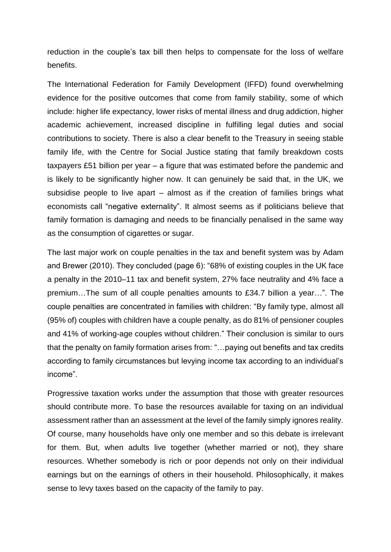reduction in the couple's tax bill then helps to compensate for the loss of welfare benefits.

The International Federation for Family Development (IFFD) found overwhelming evidence for the positive outcomes that come from family stability, some of which include: higher life expectancy, lower risks of mental illness and drug addiction, higher academic achievement, increased discipline in fulfilling legal duties and social contributions to society. There is also a clear benefit to the Treasury in seeing stable family life, with the Centre for Social Justice stating that family breakdown costs taxpayers £51 billion per year – a figure that was estimated before the pandemic and is likely to be significantly higher now. It can genuinely be said that, in the UK, we subsidise people to live apart – almost as if the creation of families brings what economists call "negative externality". It almost seems as if politicians believe that family formation is damaging and needs to be financially penalised in the same way as the consumption of cigarettes or sugar.

The last major work on couple penalties in the tax and benefit system was by Adam and Brewer (2010). They concluded (page 6): "68% of existing couples in the UK face a penalty in the 2010–11 tax and benefit system, 27% face neutrality and 4% face a premium…The sum of all couple penalties amounts to £34.7 billion a year…". The couple penalties are concentrated in families with children: "By family type, almost all (95% of) couples with children have a couple penalty, as do 81% of pensioner couples and 41% of working-age couples without children." Their conclusion is similar to ours that the penalty on family formation arises from: "…paying out benefits and tax credits according to family circumstances but levying income tax according to an individual's income".

Progressive taxation works under the assumption that those with greater resources should contribute more. To base the resources available for taxing on an individual assessment rather than an assessment at the level of the family simply ignores reality. Of course, many households have only one member and so this debate is irrelevant for them. But, when adults live together (whether married or not), they share resources. Whether somebody is rich or poor depends not only on their individual earnings but on the earnings of others in their household. Philosophically, it makes sense to levy taxes based on the capacity of the family to pay.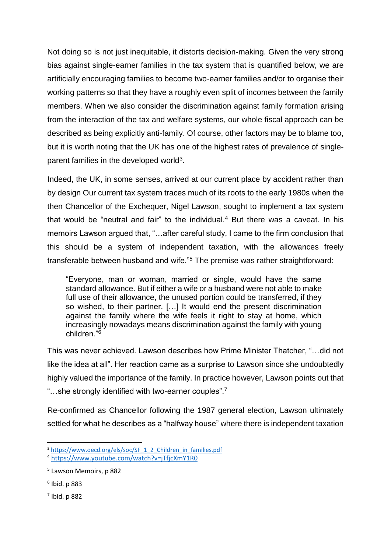Not doing so is not just inequitable, it distorts decision-making. Given the very strong bias against single-earner families in the tax system that is quantified below, we are artificially encouraging families to become two-earner families and/or to organise their working patterns so that they have a roughly even split of incomes between the family members. When we also consider the discrimination against family formation arising from the interaction of the tax and welfare systems, our whole fiscal approach can be described as being explicitly anti-family. Of course, other factors may be to blame too, but it is worth noting that the UK has one of the highest rates of prevalence of singleparent families in the developed world<sup>3</sup>.

Indeed, the UK, in some senses, arrived at our current place by accident rather than by design Our current tax system traces much of its roots to the early 1980s when the then Chancellor of the Exchequer, Nigel Lawson, sought to implement a tax system that would be "neutral and fair" to the individual.<sup>4</sup> But there was a caveat. In his memoirs Lawson argued that, "…after careful study, I came to the firm conclusion that this should be a system of independent taxation, with the allowances freely transferable between husband and wife."<sup>5</sup> The premise was rather straightforward:

"Everyone, man or woman, married or single, would have the same standard allowance. But if either a wife or a husband were not able to make full use of their allowance, the unused portion could be transferred, if they so wished, to their partner. […] It would end the present discrimination against the family where the wife feels it right to stay at home, which increasingly nowadays means discrimination against the family with young children."<sup>6</sup>

This was never achieved. Lawson describes how Prime Minister Thatcher, "…did not like the idea at all". Her reaction came as a surprise to Lawson since she undoubtedly highly valued the importance of the family. In practice however, Lawson points out that "...she strongly identified with two-earner couples".<sup>7</sup>

Re-confirmed as Chancellor following the 1987 general election, Lawson ultimately settled for what he describes as a "halfway house" where there is independent taxation

**.** 

<sup>&</sup>lt;sup>3</sup> [https://www.oecd.org/els/soc/SF\\_1\\_2\\_Children\\_in\\_families.pdf](https://www.oecd.org/els/soc/SF_1_2_Children_in_families.pdf)

<sup>4</sup> <https://www.youtube.com/watch?v=jTfjcXmY1R0>

<sup>5</sup> Lawson Memoirs, p 882

<sup>6</sup> Ibid. p 883

<sup>7</sup> Ibid. p 882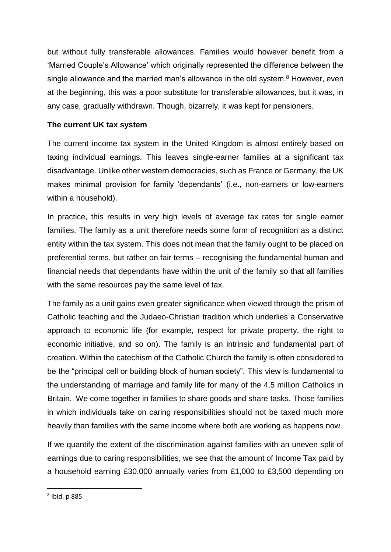but without fully transferable allowances. Families would however benefit from a 'Married Couple's Allowance' which originally represented the difference between the single allowance and the married man's allowance in the old system.<sup>8</sup> However, even at the beginning, this was a poor substitute for transferable allowances, but it was, in any case, gradually withdrawn. Though, bizarrely, it was kept for pensioners.

# **The current UK tax system**

The current income tax system in the United Kingdom is almost entirely based on taxing individual earnings. This leaves single-earner families at a significant tax disadvantage. Unlike other western democracies, such as France or Germany, the UK makes minimal provision for family 'dependants' (i.e., non-earners or low-earners within a household).

In practice, this results in very high levels of average tax rates for single earner families. The family as a unit therefore needs some form of recognition as a distinct entity within the tax system. This does not mean that the family ought to be placed on preferential terms, but rather on fair terms – recognising the fundamental human and financial needs that dependants have within the unit of the family so that all families with the same resources pay the same level of tax.

The family as a unit gains even greater significance when viewed through the prism of Catholic teaching and the Judaeo-Christian tradition which underlies a Conservative approach to economic life (for example, respect for private property, the right to economic initiative, and so on). The family is an intrinsic and fundamental part of creation. Within the catechism of the Catholic Church the family is often considered to be the "principal cell or building block of human society". This view is fundamental to the understanding of marriage and family life for many of the 4.5 million Catholics in Britain. We come together in families to share goods and share tasks. Those families in which individuals take on caring responsibilities should not be taxed much more heavily than families with the same income where both are working as happens now.

If we quantify the extent of the discrimination against families with an uneven split of earnings due to caring responsibilities, we see that the amount of Income Tax paid by a household earning £30,000 annually varies from £1,000 to £3,500 depending on

**.** 

<sup>8</sup> Ibid. p 885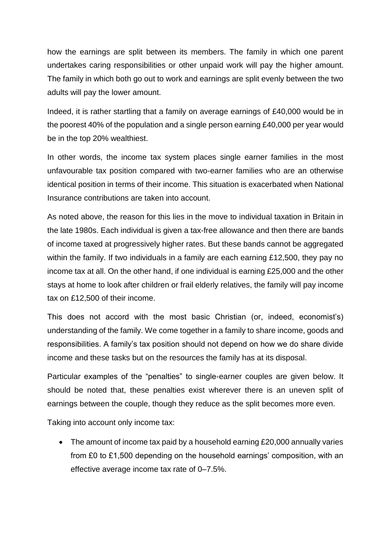how the earnings are split between its members. The family in which one parent undertakes caring responsibilities or other unpaid work will pay the higher amount. The family in which both go out to work and earnings are split evenly between the two adults will pay the lower amount.

Indeed, it is rather startling that a family on average earnings of £40,000 would be in the poorest 40% of the population and a single person earning £40,000 per year would be in the top 20% wealthiest.

In other words, the income tax system places single earner families in the most unfavourable tax position compared with two-earner families who are an otherwise identical position in terms of their income. This situation is exacerbated when National Insurance contributions are taken into account.

As noted above, the reason for this lies in the move to individual taxation in Britain in the late 1980s. Each individual is given a tax-free allowance and then there are bands of income taxed at progressively higher rates. But these bands cannot be aggregated within the family. If two individuals in a family are each earning £12,500, they pay no income tax at all. On the other hand, if one individual is earning £25,000 and the other stays at home to look after children or frail elderly relatives, the family will pay income tax on £12,500 of their income.

This does not accord with the most basic Christian (or, indeed, economist's) understanding of the family. We come together in a family to share income, goods and responsibilities. A family's tax position should not depend on how we do share divide income and these tasks but on the resources the family has at its disposal.

Particular examples of the "penalties" to single-earner couples are given below. It should be noted that, these penalties exist wherever there is an uneven split of earnings between the couple, though they reduce as the split becomes more even.

Taking into account only income tax:

• The amount of income tax paid by a household earning £20,000 annually varies from £0 to £1,500 depending on the household earnings' composition, with an effective average income tax rate of 0–7.5%.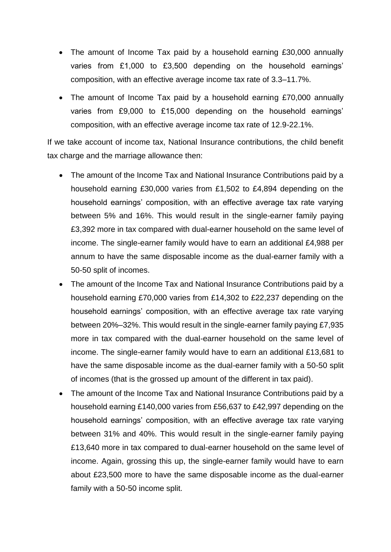- The amount of Income Tax paid by a household earning £30,000 annually varies from £1,000 to £3,500 depending on the household earnings' composition, with an effective average income tax rate of 3.3–11.7%.
- The amount of Income Tax paid by a household earning £70,000 annually varies from £9,000 to £15,000 depending on the household earnings' composition, with an effective average income tax rate of 12.9-22.1%.

If we take account of income tax, National Insurance contributions, the child benefit tax charge and the marriage allowance then:

- The amount of the Income Tax and National Insurance Contributions paid by a household earning £30,000 varies from £1,502 to £4,894 depending on the household earnings' composition, with an effective average tax rate varying between 5% and 16%. This would result in the single-earner family paying £3,392 more in tax compared with dual-earner household on the same level of income. The single-earner family would have to earn an additional £4,988 per annum to have the same disposable income as the dual-earner family with a 50-50 split of incomes.
- The amount of the Income Tax and National Insurance Contributions paid by a household earning £70,000 varies from £14,302 to £22,237 depending on the household earnings' composition, with an effective average tax rate varying between 20%–32%. This would result in the single-earner family paying £7,935 more in tax compared with the dual-earner household on the same level of income. The single-earner family would have to earn an additional £13,681 to have the same disposable income as the dual-earner family with a 50-50 split of incomes (that is the grossed up amount of the different in tax paid).
- The amount of the Income Tax and National Insurance Contributions paid by a household earning £140,000 varies from £56,637 to £42,997 depending on the household earnings' composition, with an effective average tax rate varying between 31% and 40%. This would result in the single-earner family paying £13,640 more in tax compared to dual-earner household on the same level of income. Again, grossing this up, the single-earner family would have to earn about £23,500 more to have the same disposable income as the dual-earner family with a 50-50 income split.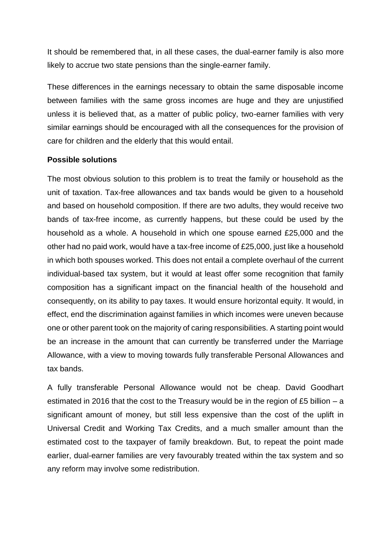It should be remembered that, in all these cases, the dual-earner family is also more likely to accrue two state pensions than the single-earner family.

These differences in the earnings necessary to obtain the same disposable income between families with the same gross incomes are huge and they are unjustified unless it is believed that, as a matter of public policy, two-earner families with very similar earnings should be encouraged with all the consequences for the provision of care for children and the elderly that this would entail.

#### **Possible solutions**

The most obvious solution to this problem is to treat the family or household as the unit of taxation. Tax-free allowances and tax bands would be given to a household and based on household composition. If there are two adults, they would receive two bands of tax-free income, as currently happens, but these could be used by the household as a whole. A household in which one spouse earned £25,000 and the other had no paid work, would have a tax-free income of £25,000, just like a household in which both spouses worked. This does not entail a complete overhaul of the current individual-based tax system, but it would at least offer some recognition that family composition has a significant impact on the financial health of the household and consequently, on its ability to pay taxes. It would ensure horizontal equity. It would, in effect, end the discrimination against families in which incomes were uneven because one or other parent took on the majority of caring responsibilities. A starting point would be an increase in the amount that can currently be transferred under the Marriage Allowance, with a view to moving towards fully transferable Personal Allowances and tax bands.

A fully transferable Personal Allowance would not be cheap. David Goodhart estimated in 2016 that the cost to the Treasury would be in the region of £5 billion – a significant amount of money, but still less expensive than the cost of the uplift in Universal Credit and Working Tax Credits, and a much smaller amount than the estimated cost to the taxpayer of family breakdown. But, to repeat the point made earlier, dual-earner families are very favourably treated within the tax system and so any reform may involve some redistribution.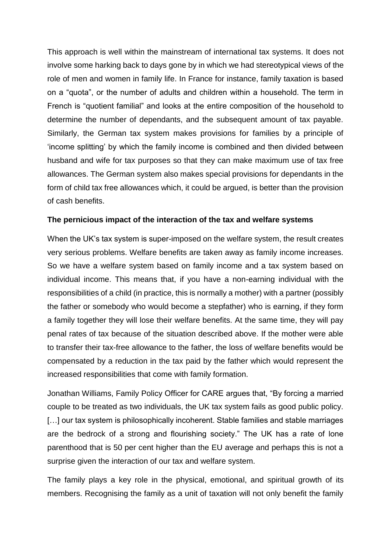This approach is well within the mainstream of international tax systems. It does not involve some harking back to days gone by in which we had stereotypical views of the role of men and women in family life. In France for instance, family taxation is based on a "quota", or the number of adults and children within a household. The term in French is "quotient familial" and looks at the entire composition of the household to determine the number of dependants, and the subsequent amount of tax payable. Similarly, the German tax system makes provisions for families by a principle of 'income splitting' by which the family income is combined and then divided between husband and wife for tax purposes so that they can make maximum use of tax free allowances. The German system also makes special provisions for dependants in the form of child tax free allowances which, it could be argued, is better than the provision of cash benefits.

# **The pernicious impact of the interaction of the tax and welfare systems**

When the UK's tax system is super-imposed on the welfare system, the result creates very serious problems. Welfare benefits are taken away as family income increases. So we have a welfare system based on family income and a tax system based on individual income. This means that, if you have a non-earning individual with the responsibilities of a child (in practice, this is normally a mother) with a partner (possibly the father or somebody who would become a stepfather) who is earning, if they form a family together they will lose their welfare benefits. At the same time, they will pay penal rates of tax because of the situation described above. If the mother were able to transfer their tax-free allowance to the father, the loss of welfare benefits would be compensated by a reduction in the tax paid by the father which would represent the increased responsibilities that come with family formation.

Jonathan Williams, Family Policy Officer for CARE argues that, "By forcing a married couple to be treated as two individuals, the UK tax system fails as good public policy. [...] our tax system is philosophically incoherent. Stable families and stable marriages are the bedrock of a strong and flourishing society." The UK has a rate of lone parenthood that is 50 per cent higher than the EU average and perhaps this is not a surprise given the interaction of our tax and welfare system.

The family plays a key role in the physical, emotional, and spiritual growth of its members. Recognising the family as a unit of taxation will not only benefit the family